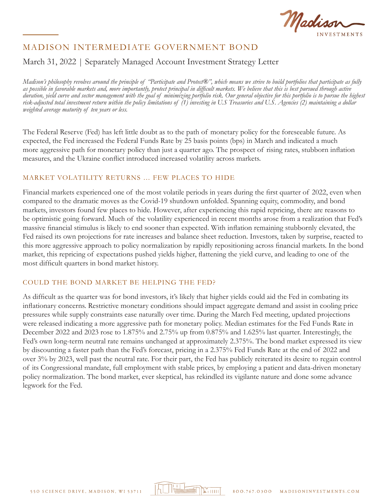Madis

## March 31, 2022 | Separately Managed Account Investment Strategy Letter

*Madison's philosophy revolves around the principle of "Participate and Protect®", which means we strive to build portfolios that participate as fully as possible in favorable markets and, more importantly, protect principal in difficult markets. We believe that this is best pursued through active duration, yield curve and sector management with the goal of minimizing portfolio risk. Our general objective for this portfolio is to pursue the highest risk-adjusted total investment return within the policy limitations of (1) investing in U.S Treasuries and U.S. Agencies (2) maintaining a dollar weighted average maturity of ten years or less.*

The Federal Reserve (Fed) has left little doubt as to the path of monetary policy for the foreseeable future. As expected, the Fed increased the Federal Funds Rate by 25 basis points (bps) in March and indicated a much more aggressive path for monetary policy than just a quarter ago. The prospect of rising rates, stubborn inflation measures, and the Ukraine conflict introduced increased volatility across markets.

#### MARKET VOLATILITY RETURNS … FEW PLACES TO HIDE

Financial markets experienced one of the most volatile periods in years during the first quarter of 2022, even when compared to the dramatic moves as the Covid-19 shutdown unfolded. Spanning equity, commodity, and bond markets, investors found few places to hide. However, after experiencing this rapid repricing, there are reasons to be optimistic going forward. Much of the volatility experienced in recent months arose from a realization that Fed's massive financial stimulus is likely to end sooner than expected. With inflation remaining stubbornly elevated, the Fed raised its own projections for rate increases and balance sheet reduction. Investors, taken by surprise, reacted to this more aggressive approach to policy normalization by rapidly repositioning across financial markets. In the bond market, this repricing of expectations pushed yields higher, flattening the yield curve, and leading to one of the most difficult quarters in bond market history.

#### COULD THE BOND MARKET BE HELPING THE FED?

As difficult as the quarter was for bond investors, it's likely that higher yields could aid the Fed in combating its inflationary concerns. Restrictive monetary conditions should impact aggregate demand and assist in cooling price pressures while supply constraints ease naturally over time. During the March Fed meeting, updated projections were released indicating a more aggressive path for monetary policy. Median estimates for the Fed Funds Rate in December 2022 and 2023 rose to 1.875% and 2.75% up from 0.875% and 1.625% last quarter. Interestingly, the Fed's own long-term neutral rate remains unchanged at approximately 2.375%. The bond market expressed its view by discounting a faster path than the Fed's forecast, pricing in a 2.375% Fed Funds Rate at the end of 2022 and over 3% by 2023, well past the neutral rate. For their part, the Fed has publicly reiterated its desire to regain control of its Congressional mandate, full employment with stable prices, by employing a patient and data-driven monetary policy normalization. The bond market, ever skeptical, has rekindled its vigilante nature and done some advance legwork for the Fed.

la Titutti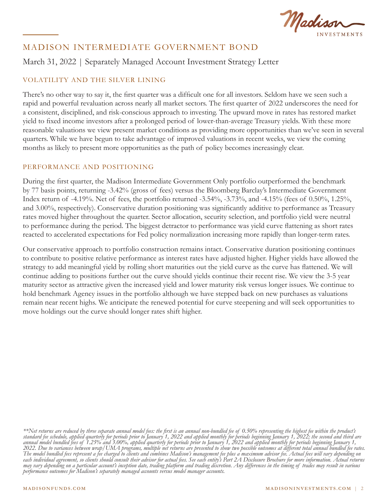Madisor

## March 31, 2022 | Separately Managed Account Investment Strategy Letter

## VOLATILITY AND THE SILVER LINING

There's no other way to say it, the first quarter was a difficult one for all investors. Seldom have we seen such a rapid and powerful revaluation across nearly all market sectors. The first quarter of 2022 underscores the need for a consistent, disciplined, and risk-conscious approach to investing. The upward move in rates has restored market yield to fixed income investors after a prolonged period of lower-than-average Treasury yields. With these more reasonable valuations we view present market conditions as providing more opportunities than we've seen in several quarters. While we have begun to take advantage of improved valuations in recent weeks, we view the coming months as likely to present more opportunities as the path of policy becomes increasingly clear.

#### PERFORMANCE AND POSITIONING

During the first quarter, the Madison Intermediate Government Only portfolio outperformed the benchmark by 77 basis points, returning -3.42% (gross of fees) versus the Bloomberg Barclay's Intermediate Government Index return of -4.19%. Net of fees, the portfolio returned -3.54%, -3.73%, and -4.15% (fees of 0.50%, 1.25%, and 3.00%, respectively). Conservative duration positioning was significantly additive to performance as Treasury rates moved higher throughout the quarter. Sector allocation, security selection, and portfolio yield were neutral to performance during the period. The biggest detractor to performance was yield curve flattening as short rates reacted to accelerated expectations for Fed policy normalization increasing more rapidly than longer-term rates.

Our conservative approach to portfolio construction remains intact. Conservative duration positioning continues to contribute to positive relative performance as interest rates have adjusted higher. Higher yields have allowed the strategy to add meaningful yield by rolling short maturities out the yield curve as the curve has flattened. We will continue adding to positions further out the curve should yields continue their recent rise. We view the 3-5 year maturity sector as attractive given the increased yield and lower maturity risk versus longer issues. We continue to hold benchmark Agency issues in the portfolio although we have stepped back on new purchases as valuations remain near recent highs. We anticipate the renewed potential for curve steepening and will seek opportunities to move holdings out the curve should longer rates shift higher.

*\*\*Net returns are reduced by three separate annual model fees: the first is an annual non-bundled fee of 0.50% representing the highest fee within the product's standard fee schedule, applied quarterly for periods prior to January 1, 2022 and applied monthly for periods beginning January 1, 2022; the second and third are annual model bundled fees of 1.25% and 3.00%, applied quarterly for periods prior to January 1, 2022 and applied monthly for periods beginning January 1, 2022. Due to variances between wrap/UMA programs, multiple net returns are presented to show two possible outcomes at different total annual bundled fee rates. The model bundled fees represent a fee charged to clients and combines Madison's management fee plus a maximum advisor fee. Actual fees will vary depending on each individual agreement, so clients should consult their advisor for actual fees. See each entity's Part 2A Disclosure Brochure for more information. Actual returns may vary depending on a particular account's inception date, trading platform and trading discretion. Any differences in the timing of trades may result in various performance outcomes for Madison's separately managed accounts versus model manager accounts.*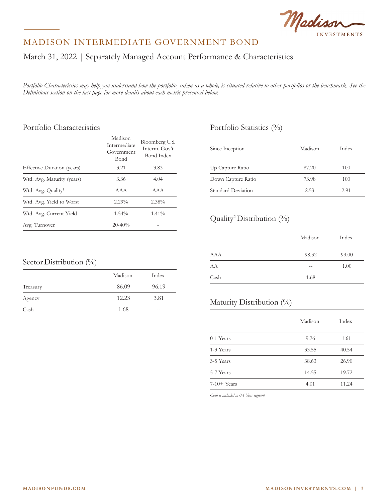

March 31, 2022 | Separately Managed Account Performance & Characteristics

*Portfolio Characteristics may help you understand how the portfolio, taken as a whole, is situated relative to other portfolios or the benchmark. See the Definitions section on the last page for more details about each metric presented below.*

#### Portfolio Characteristics

|                                | Madison<br>Intermediate<br>Government<br>Bond | Bloomberg U.S.<br>Interm. Gov't<br>Bond Index |  |  |
|--------------------------------|-----------------------------------------------|-----------------------------------------------|--|--|
| Effective Duration (years)     | 3.21                                          | 3.83                                          |  |  |
| Wtd. Avg. Maturity (years)     | 3.36                                          | 4.04                                          |  |  |
| Wtd. Avg. Quality <sup>1</sup> | AAA                                           | AAA                                           |  |  |
| Wtd. Avg. Yield to Worst       | $2.29\%$                                      | 2.38%                                         |  |  |
| Wtd. Avg. Current Yield        | $1.54\%$                                      | $1.41\%$                                      |  |  |
| Avg. Turnover                  | $20 - 40%$                                    |                                               |  |  |

### Portfolio Statistics (%)

| Since Inception    | Madison | Index |
|--------------------|---------|-------|
| Up Capture Ratio   | 87.20   | 100   |
| Down Capture Ratio | 73.98   | 100   |
| Standard Deviation | 2.53    | 2.91  |

### Quality2 Distribution (%)

|            | Madison | Index |
|------------|---------|-------|
| <b>AAA</b> | 98.32   | 99.00 |
| AA         |         | 1.00  |
| Cash       | 1.68    |       |

### Maturity Distribution (%)

|               | Madison | Index |
|---------------|---------|-------|
| $0-1$ Years   | 9.26    | 1.61  |
| 1-3 Years     | 33.55   | 40.54 |
| 3-5 Years     | 38.63   | 26.90 |
| 5-7 Years     | 14.55   | 19.72 |
| $7-10+$ Years | 4.01    | 11.24 |

*Cash is included in 0-1 Year segment.*

## Sector Distribution (%)

|          | Madison | Index |
|----------|---------|-------|
| Treasury | 86.09   | 96.19 |
| Agency   | 12.23   | 3.81  |
| Cash     | 1.68    | $- -$ |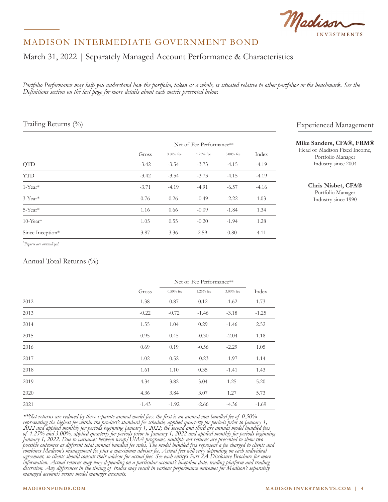

## March 31, 2022 | Separately Managed Account Performance & Characteristics

*Portfolio Performance may help you understand how the portfolio, taken as a whole, is situated relative to other portfolios or the benchmark. See the Definitions section on the last page for more details about each metric presented below.*

#### Trailing Returns (%)

|                         |         | Net of Fee Performance** |           |              |         |
|-------------------------|---------|--------------------------|-----------|--------------|---------|
|                         | Gross   | $0.50\%$ fee             | 1.25% fee | $3.00\%$ fee | Index   |
| <b>QTD</b>              | $-3.42$ | $-3.54$                  | $-3.73$   | $-4.15$      | $-4.19$ |
| <b>YTD</b>              | $-3.42$ | $-3.54$                  | $-3.73$   | $-4.15$      | $-4.19$ |
| $1$ -Year <sup>*</sup>  | $-3.71$ | $-4.19$                  | $-4.91$   | $-6.57$      | $-4.16$ |
| $3$ -Year <sup>*</sup>  | 0.76    | 0.26                     | $-0.49$   | $-2.22$      | 1.03    |
| 5-Year*                 | 1.16    | 0.66                     | $-0.09$   | $-1.84$      | 1.34    |
| $10$ -Year <sup>*</sup> | 1.05    | 0.55                     | $-0.20$   | $-1.94$      | 1.28    |
| Since Inception*        | 3.87    | 3.36                     | 2.59      | 0.80         | 4.11    |

\* *Figures are annualized.*

#### Annual Total Returns (%)

|      |         | Net of Fee Performance** |             |           |         |
|------|---------|--------------------------|-------------|-----------|---------|
|      | Gross   | $0.50\%$ fee             | $1.25%$ fee | 3.00% fee | Index   |
| 2012 | 1.38    | 0.87                     | 0.12        | $-1.62$   | 1.73    |
| 2013 | $-0.22$ | $-0.72$                  | $-1.46$     | $-3.18$   | $-1.25$ |
| 2014 | 1.55    | 1.04                     | 0.29        | $-1.46$   | 2.52    |
| 2015 | 0.95    | 0.45                     | $-0.30$     | $-2.04$   | 1.18    |
| 2016 | 0.69    | 0.19                     | $-0.56$     | $-2.29$   | 1.05    |
| 2017 | 1.02    | 0.52                     | $-0.23$     | $-1.97$   | 1.14    |
| 2018 | 1.61    | 1.10                     | 0.35        | $-1.41$   | 1.43    |
| 2019 | 4.34    | 3.82                     | 3.04        | 1.25      | 5.20    |
| 2020 | 4.36    | 3.84                     | 3.07        | 1.27      | 5.73    |
| 2021 | $-1.43$ | $-1.92$                  | $-2.66$     | $-4.36$   | $-1.69$ |

*\*\*Net returns are reduced by three separate annual model fees: the first is an annual non-bundled fee of 0.50% representing the highest fee within the product's standard fee schedule, applied quarterly for periods prior to January 1, 2022 and applied monthly for periods beginning January 1, 2022; the second and third are annual model bundled fees of 1.25% and 3.00%, applied quarterly for periods prior to January 1, 2022 and applied monthly for periods beginning January 1, 2022. Due to variances between wrap/UMA programs, multiple net returns are presented to show two possible outcomes at different total annual bundled fee rates. The model bundled fees represent a fee charged to clients and combines Madison's management fee plus a maximum advisor fee. Actual fees will vary depending on each individual agreement, so clients should consult their advisor for actual fees. See each entity's Part 2A Disclosure Brochure for more information. Actual returns may vary depending on a particular account's inception date, trading platform and trading discretion. Any differences in the timing of trades may result in various performance outcomes for Madison's separately managed accounts versus model manager accounts.*

#### Experienced Management

#### **Mike Sanders, CFA®, FRM®**

Head of Madison Fixed Income, Portfolio Manager Industry since 2004

**Chris Nisbet, CFA®**

Portfolio Manager Industry since 1990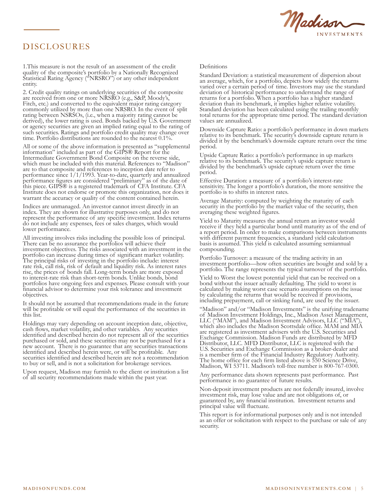

## DISCLOSURES

1.This measure is not the result of an assessment of the credit quality of the composite's portfolio by a Nationally Recognized Statistical Rating Agency ("NRSRO") or any other independent entity.

2. Credit quality ratings on underlying securities of the composite are received from one or more NRSRO (e.g., S&P, Moody's, Fitch, etc.) and converted to the equivalent major rating category commonly utilized by more than one NRSRO. In the event of split rating between NSRSOs, (i.e., when a majority rating cannot be derived), the lower rating is used. Bonds backed by U.S. Government or agency securities are given an implied rating equal to the rating of such securities. Ratings and portfolio credit quality may change over time. Portfolio distributions are rounded to the nearest 0.1%.

All or some of the above information is presented as "supplemental information" included as part of the GIPS® Report for the Intermediate Government Bond Composite on the reverse side, which must be included with this material. References to "Madison" are to that composite and references to inception date refer to performance since 1/1/1993. Year-to-date, quarterly and annualized performance figures are considered "preliminary" as of the date of this piece. GIPS® is a registered trademark of CFA Institute. CFA Institute does not endorse or promote this organization, nor does it warrant the accuracy or quality of the content contained herein.

Indices are unmanaged. An investor cannot invest directly in an index. They are shown for illustrative purposes only, and do not represent the performance of any specific investment. Index returns do not include any expenses, fees or sales charges, which would lower performance.

All investing involves risks including the possible loss of principal. There can be no assurance the portfolios will achieve their investment objectives. The risks associated with an investment in the portfolio can increase during times of significant market volatility. The principal risks of investing in the portfolio include: interest rate risk, call risk, risk of default and liquidity risk. As interest rates rise, the prices of bonds fall. Long-term bonds are more exposed to interest-rate risk than short-term bonds. Unlike bonds, bond portfolios have ongoing fees and expenses. Please consult with your financial advisor to determine your risk tolerance and investment objectives.

It should not be assumed that recommendations made in the future will be profitable or will equal the performance of the securities in this list.

Holdings may vary depending on account inception date, objective, cash flows, market volatility, and other variables. Any securities identified and described herein do not represent all of the securities purchased or sold, and these securities may not be purchased for a new account. There is no guarantee that any securities transactions identified and described herein were, or will be profitable. Any securities identified and described herein are not a recommendation to buy or sell, and is not a solicitation for brokerage services.

Upon request, Madison may furnish to the client or institution a list of all security recommendations made within the past year.

#### Definitions

Standard Deviation: a statistical measurement of dispersion about an average, which, for a portfolio, depicts how widely the returns varied over a certain period of time. Investors may use the standard deviation of historical performance to understand the range of returns for a portfolio. When a portfolio has a higher standard deviation than its benchmark, it implies higher relative volatility. Standard deviation has been calculated using the trailing monthly total returns for the appropriate time period. The standard deviation values are annualized.

Downside Capture Ratio: a portfolio's performance in down markets relative to its benchmark. The security's downside capture return is divided it by the benchmark's downside capture return over the time period.

Upside Capture Ratio: a portfolio's performance in up markets relative to its benchmark. The security's upside capture return is divided by the benchmark's upside capture return over the time period.

Effective Duration: a measure of a portfolio's interest-rate sensitivity. The longer a portfolio's duration, the more sensitive the portfolio is to shifts in interest rates.

Average Maturity: computed by weighting the maturity of each security in the portfolio by the market value of the security, then averaging these weighted figures.

Yield to Maturity measures the annual return an investor would receive if they held a particular bond until maturity as of the end of a report period. In order to make comparisons between instruments with different payment frequencies, a standard yield calculation basis is assumed. This yield is calculated assuming semiannual compounding.

Portfolio Turnover: a measure of the trading activity in an investment portfolio—how often securities are bought and sold by a portfolio. The range represents the typical turnover of the portfolio.

Yield to Worst the lowest potential yield that can be received on a bond without the issuer actually defaulting. The yield to worst is calculated by making worst case scenario assumptions on the issue by calculating the returns that would be received if provisions, including prepayment, call or sinking fund, are used by the issuer.

"Madison" and/or "Madison Investments" is the unifying tradename of Madison Investment Holdings, Inc., Madison Asset Management, LLC ("MAM"), and Madison Investment Advisors, LLC ("MIA"), which also includes the Madison Scottsdale office. MAM and MIA are registered as investment advisers with the U.S. Securities and Exchange Commission. Madison Funds are distributed by MFD Distributor, LLC. MFD Distributor, LLC is registered with the U.S. Securities and Exchange Commission as a broker-dealer and is a member firm of the Financial Industry Regulatory Authority. The home office for each firm listed above is 550 Science Drive, Madison, WI 53711. Madison's toll-free number is 800-767-0300.

Any performance data shown represents past performance. Past performance is no guarantee of future results.

Non-deposit investment products are not federally insured, involve investment risk, may lose value and are not obligations of, or guaranteed by, any financial institution. Investment returns and principal value will fluctuate.

This report is for informational purposes only and is not intended as an offer or solicitation with respect to the purchase or sale of any security.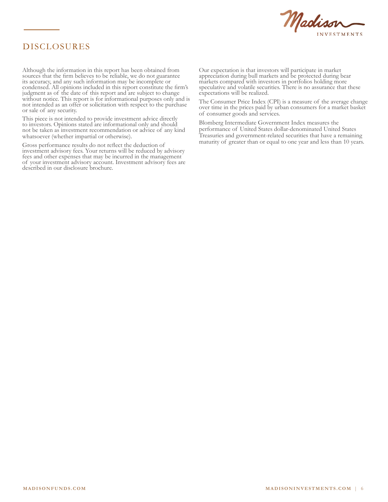

## DISCLOSURES

Although the information in this report has been obtained from sources that the firm believes to be reliable, we do not guarantee its accuracy, and any such information may be incomplete or condensed. All opinions included in this report constitute the firm's judgment as of the date of this report and are subject to change without notice. This report is for informational purposes only and is not intended as an offer or solicitation with respect to the purchase or sale of any security. 1.<br>This measure is not the Community of the results of the credit of the credit of the community of the community Although the information in this report has been obtained from sources that the firm believes to be reliable, we do not guarantee iudgment as of the date of this report and are subject to change without notice. This report is for informational purposes only not intended as an offer or solicitation with respect to the purchas or sale of any security.

This piece is not intended to provide investment advice directly to investors. Opinions stated are informational only and should not be taken as investment recommendation or advice of any kind whatsoever (whether impartial or otherwise). I his piece is not intended to provide investment advice directly

Gross performance results do not reflect the deduction of investment advisory fees. Your returns will be reduced by advisory investment advisory tees. Your returns will be reduced by advisory fees and other expenses that may be incurred in the management of your investment advisory account. Investment advisory fees are of your investment advisory account. Investment advisory fees are<br>described in our disclosure brochure. tees and other expenses that may be incurred in the management described in our disclosure brochure.

Our expectation is that investors will participate in market appreciation during bull markets and be protected during bear markets compared with investors in portfolios holding more speculative and volatile securities. There is no assurance that these expectations will be realized.  $\Omega$  or  $\Omega$  and  $\Omega$  and  $\Omega$ appreciation during bull markets and be protected during bear

The Consumer Price Index (CPI) is a measure of the average change over time in the prices paid by urban consumers for a market basket of consumer goods and services. returns for a portfolio has portfolio has a higher standard standard standard standard  $\epsilon$ I he Consumer Price Index (CPI) is a measure of the average channels of the strategie of the strategie volatility. over time in the prices paid by urban consumers for a market base

Blomberg Intermediate Government Index measures the performance of United States dollar-denominated United States Treasuries and government-related securities that have a remaining maturity of greater than or equal to one year and less than 10 years. period.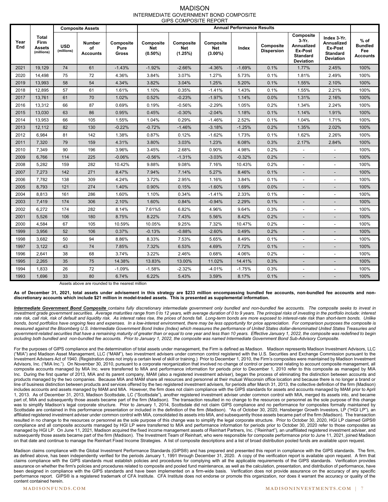#### MADISON INTERMEDIATE GOVERNMENT BOND COMPOSITE GIPS COMPOSITE REPORT

|             |                                       |                          | <b>Composite Assets</b>                |                                   | <b>Annual Performance Results</b>     |                                    |                                       |          |                                |                                                                                      |                                                                                    |                                                    |
|-------------|---------------------------------------|--------------------------|----------------------------------------|-----------------------------------|---------------------------------------|------------------------------------|---------------------------------------|----------|--------------------------------|--------------------------------------------------------------------------------------|------------------------------------------------------------------------------------|----------------------------------------------------|
| Year<br>End | Total<br>Firm<br>Assets<br>(millions) | <b>USD</b><br>(millions) | <b>Number</b><br>οf<br><b>Accounts</b> | Composite<br>Pure<br><b>Gross</b> | Composite<br><b>Net</b><br>$(0.50\%)$ | Composite<br><b>Net</b><br>(1.25%) | Composite<br><b>Net</b><br>$(3.00\%)$ | Index    | Composite<br><b>Dispersion</b> | Composite<br>$3-Yr.$<br>Annualized<br>Ex-Post<br><b>Standard</b><br><b>Deviation</b> | Index 3-Yr.<br><b>Annualized</b><br>Ex-Post<br><b>Standard</b><br><b>Deviation</b> | $%$ of<br><b>Bundled</b><br>Fee<br><b>Accounts</b> |
| 2021        | 19.129                                | 74                       | 61                                     | $-1.43%$                          | $-1.92%$                              | $-2.66%$                           | $-4.36%$                              | $-1.69%$ | 0.1%                           | 1.77%                                                                                | 2.45%                                                                              | 100%                                               |
| 2020        | 14,498                                | 75                       | 72                                     | 4.36%                             | 3.84%                                 | 3.07%                              | 1.27%                                 | 5.73%    | 0.1%                           | 1.81%                                                                                | 2.49%                                                                              | 100%                                               |
| 2019        | 13,993                                | 58                       | 54                                     | 4.34%                             | 3.82%                                 | 3.04%                              | 1.25%                                 | 5.20%    | 0.1%                           | 1.55%                                                                                | 2.10%                                                                              | 100%                                               |
| 2018        | 12,895                                | 57                       | 61                                     | 1.61%                             | 1.10%                                 | 0.35%                              | $-1.41%$                              | 1.43%    | 0.1%                           | 1.55%                                                                                | 2.21%                                                                              | 100%                                               |
| 2017        | 13,761                                | 61                       | 70                                     | 1.02%                             | 0.52%                                 | $-0.23%$                           | $-1.97%$                              | 1.14%    | 0.0%                           | 1.31%                                                                                | 2.16%                                                                              | 100%                                               |
| 2016        | 13,312                                | 66                       | 87                                     | 0.69%                             | 0.19%                                 | $-0.56%$                           | $-2.29%$                              | 1.05%    | 0.2%                           | 1.34%                                                                                | 2.24%                                                                              | 100%                                               |
| 2015        | 13,030                                | 63                       | 86                                     | 0.95%                             | 0.45%                                 | $-0.30%$                           | $-2.04%$                              | 1.18%    | 0.1%                           | 1.14%                                                                                | 1.91%                                                                              | 100%                                               |
| 2014        | 13,953                                | 66                       | 105                                    | 1.55%                             | 1.04%                                 | 0.29%                              | $-1.46%$                              | 2.52%    | 0.1%                           | 1.04%                                                                                | 1.71%                                                                              | 100%                                               |
| 2013        | 12.112                                | 82                       | 130                                    | $-0.22%$                          | $-0.72%$                              | $-1.46%$                           | $-3.18%$                              | $-1.25%$ | 0.2%                           | 1.35%                                                                                | 2.02%                                                                              | 100%                                               |
| 2012        | 6,984                                 | 81                       | 142                                    | 1.38%                             | 0.87%                                 | 0.12%                              | $-1.62%$                              | 1.73%    | 0.1%                           | 1.62%                                                                                | 2.26%                                                                              | 100%                                               |
| 2011        | 7,320                                 | 79                       | 159                                    | 4.31%                             | 3.80%                                 | 3.03%                              | 1.23%                                 | 6.08%    | 0.3%                           | 2.17%                                                                                | 2.84%                                                                              | 100%                                               |
| 2010        | 7,349                                 | 90                       | 196                                    | 3.96%                             | 3.45%                                 | 2.68%                              | 0.90%                                 | 4.98%    | 0.2%                           | ä,                                                                                   |                                                                                    | 100%                                               |
| 2009        | 6,766                                 | 114                      | 225                                    | $-0.06%$                          | $-0.56%$                              | $-1.31%$                           | $-3.03%$                              | $-0.32%$ | 0.2%                           | $\overline{a}$                                                                       |                                                                                    | 100%                                               |
| 2008        | 5,282                                 | 159                      | 282                                    | 10.42%                            | 9.88%                                 | 9.08%                              | 7.16%                                 | 10.43%   | 0.2%                           | ٠                                                                                    |                                                                                    | 100%                                               |
| 2007        | 7,273                                 | 142                      | 271                                    | 8.47%                             | 7.94%                                 | 7.14%                              | 5.27%                                 | 8.46%    | 0.1%                           | $\centerdot$                                                                         |                                                                                    | 100%                                               |
| 2006        | 7.782                                 | 138                      | 309                                    | 4.24%                             | 3.72%                                 | 2.95%                              | 1.16%                                 | 3.84%    | 0.1%                           | $\overline{a}$                                                                       |                                                                                    | 100%                                               |
| 2005        | 8,793                                 | 121                      | 274                                    | 1.40%                             | 0.90%                                 | 0.15%                              | $-1.60%$                              | 1.69%    | 0.0%                           | $\overline{\phantom{a}}$                                                             | $\overline{\phantom{0}}$                                                           | 100%                                               |
| 2004        | 8,813                                 | 161                      | 286                                    | 1.60%                             | 1.10%                                 | 0.34%                              | $-1.41%$                              | 2.33%    | 0.1%                           | $\overline{a}$                                                                       |                                                                                    | 100%                                               |
| 2003        | 7,419                                 | 174                      | 306                                    | 2.10%                             | 1.60%                                 | 0.84%                              | $-0.94%$                              | 2.29%    | 0.1%                           | $\centerdot$                                                                         |                                                                                    | 100%                                               |
| 2002        | 6,272                                 | 174                      | 282                                    | 8.14%                             | 7.61%5                                | 6.82%                              | 4.96%                                 | 9.64%    | 0.3%                           | $\overline{a}$                                                                       | $\blacksquare$                                                                     | 100%                                               |
| 2001        | 5,526                                 | 106                      | 180                                    | 8.75%                             | 8.22%                                 | 7.43%                              | 5.56%                                 | 8.42%    | 0.2%                           |                                                                                      |                                                                                    | 100%                                               |
| 2000        | 4,584                                 | 67                       | 105                                    | 10.59%                            | 10.05%                                | 9.25%                              | 7.32%                                 | 10.47%   | 0.2%                           | ä,                                                                                   |                                                                                    | 100%                                               |
| 1999        | 3,956                                 | 52                       | 106                                    | 0.37%                             | $-0.13%$                              | $-0.88%$                           | $-2.60%$                              | 0.49%    | 0.2%                           | $\overline{\phantom{a}}$                                                             | $\overline{\phantom{a}}$                                                           | 100%                                               |
| 1998        | 3,682                                 | 50                       | 94                                     | 8.86%                             | 8.33%                                 | 7.53%                              | 5.65%                                 | 8.49%    | 0.1%                           | $\overline{a}$                                                                       | $\overline{\phantom{a}}$                                                           | 100%                                               |
| 1997        | 3,122                                 | 43                       | 74                                     | 7.85%                             | 7.32%                                 | 6.53%                              | 4.69%                                 | 7.72%    | 0.1%                           | $\overline{a}$                                                                       |                                                                                    | 100%                                               |
| 1996        | 2,641                                 | 38                       | 68                                     | 3.74%                             | 3.22%                                 | 2.46%                              | 0.68%                                 | 4.06%    | 0.2%                           | ٠                                                                                    |                                                                                    | 100%                                               |
| 1995        | 2,265                                 | 35                       | 75                                     | 14.38%                            | 13.83%                                | 13.00%                             | 11.02%                                | 14.41%   | 0.3%                           | $\overline{a}$                                                                       |                                                                                    | 100%                                               |
| 1994        | 1,833                                 | 26                       | 72                                     | $-1.09%$                          | $-1.58%$                              | $-2.32%$                           | $-4.01%$                              | $-1.75%$ | 0.3%                           | $\overline{a}$                                                                       |                                                                                    | 100%                                               |
| 1993        | 1.696                                 | 33                       | 80                                     | 6.74%                             | 6.22%                                 | 5.43%                              | 3.59%                                 | 8.17%    | 0.1%                           | $\overline{\phantom{a}}$                                                             |                                                                                    | 100%                                               |

Assets above are rounded to the nearest million

As of December 31, 2021, total assets under advisement in this strategy are \$233 million encompassing bundled fee accounts, non-bundled fee accounts and non**discretionary accounts which include \$21 million in model-traded assets. This is presented as supplemental information.** 

*Intermediate Government Bond Composite contains fully discretionary intermediate government only bundled and non-bundled fee accounts. The composite seeks to invest in*  investment grade government securities. Average maturities range from 0 to 12 years, with average duration of 0 to 9 years. The principal risks of investing in the portfolio include: interest rate risk, call risk, risk of default and liquidity risk. As interest rates rise, the prices of bonds fall. Long-term bonds are more exposed to interest-rate risk than short-term bonds. Unlike bonds, bond portfolios have ongoing fees and expenses. In a low-interest environment, there may be less opportunity for price appreciation. For comparison purposes the composite is *measured against the Bloomberg U.S. Intermediate Government Bond Index (Index) which measures the performance of United States dollar-denominated United States Treasuries and*  government-related securities that have a remaining maturity of greater than or equal to one year and less than 10 years. Effective January 1, 2022, the composite was redefined to begin *including both bundled and non-bundled fee accounts. Prior to January 1, 2022, the composite was named Intermediate Government Bond Sub-Advisory Composite.*

For the purposes of GIPS compliance and the determination of total assets under management, the Firm is defined as Madison. Madison represents Madison Investment Advisors, LLC ("MIA") and Madison Asset Management, LLC ("MAM"), two investment advisers under common control registered with the U.S. Securities and Exchange Commission pursuant to the Investment Advisers Act of 1940. (Registration does not imply a certain level of skill or training.) Prior to December 1, 2010, the Firm's composites were maintained by Madison Investment Advisors, Inc. ("MIA Inc."). On November 30, 2010, pursuant to a corporate reorganization that involved no change of control or personnel relating to account composite management, all composite accounts managed by MIA Inc. were transferred to MIA and performance information for periods prior to December 1, 2010 refer to this composite as managed by MIA Inc. During the first quarter of 2013, MIA and its parent company, MAM (also a registered investment adviser), began the process of eliminating the distinction between accounts and products managed by the two companies. Because MIA and MAM share all resources and personnel at their mutual Wisconsin office location and because there is no longer a brand or line of business distinction between products and services offered by the two registered investment advisers, for periods after March 31, 2013, the collective definition of the firm (Madison) includes accounts and assets managed by MAM and MIA. However, the firm does not claim compliance with the GIPS standards for assets and accounts managed by MAM prior to April 1, 2013. As of December 31, 2013, Madison Scottsdale, LC ("Scottsdale"), another registered investment adviser under common control with MIA, merged its assets into, and became part of, MIA and subsequently those assets became part of the firm (Madison). The transaction resulted in no change to the resources or personnel as the sole purpose of this change was to simplify Madison's legal corporate structure. Prior to January 1, 2014, Scottsdale did not claim GIPS compliance and no performance for composites formally maintained by Scottsdale are contained in this performance presentation or included in the definition of the firm (Madison). \*As of October 30, 2020, Hansberger Growth Investors, LP ("HGI LP"), an affiliated registered investment adviser under common control with MIA, consolidated its assets into MIA, and subsequently those assets became part of the firm (Madison). The transaction resulted in no change to the resources or personnel as the sole purpose of this change was to simplify the legal corporate structure. Prior to October 30, 2020, HGI LP claimed GIPS® compliance and all composite accounts managed by HGI LP were transferred to MIA and performance information for periods prior to October 30, 2020 refer to those composites as managed by HGI LP. On June 11, 2021, Madison acquired the fixed income management assets of Reinhart Partners, Inc. ("Reinhart"), an unaffiliated registered investment adviser, and subsequently those assets became part of the firm (Madison). The Investment Team of Reinhart, who were responsible for composite performance prior to June 11, 2021, joined Madison on that date and continue to manage the Reinhart Fixed Income Strategies. A list of composite descriptions and a list of broad distribution pooled funds are available upon request.

Madison claims compliance with the Global Investment Performance Standards (GIPS®) and has prepared and presented this report in compliance with the GIPS standards. The firm, as defined above, has been independently verified for the periods January 1, 1991 through December 31, 2020. A copy of the verification report is available upon request. A firm that claims compliance with the GIPS standards must establish policies and procedures for complying with all the applicable requirements of the GIPS standards. Verification provides assurance on whether the firm's policies and procedures related to composite and pooled fund maintenance, as well as the calculation, presentation, and distribution of performance, have been designed in compliance with the GIPS standards and have been implemented on a firm-wide basis. Verification does not provide assurance on the accuracy of any specific performance report. GIPS® is a registered trademark of CFA Institute. CFA Institute does not endorse or promote this organization, nor does it warrant the accuracy or quality of the content contained herein.